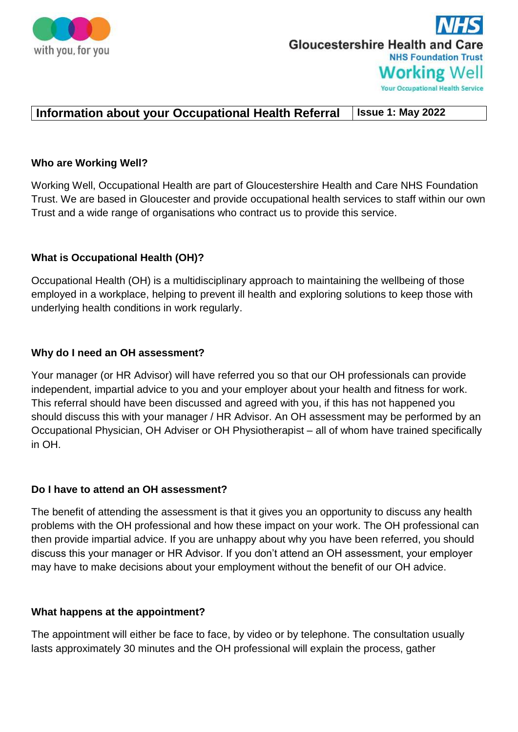

# **Gloucestershire Health and Care NHS Foundation Trust Working Well Your Occupational Health Service**

# **Information about your Occupational Health Referral Issue 1: May 2022**

#### **Who are Working Well?**

Working Well, Occupational Health are part of Gloucestershire Health and Care NHS Foundation Trust. We are based in Gloucester and provide occupational health services to staff within our own Trust and a wide range of organisations who contract us to provide this service.

## **What is Occupational Health (OH)?**

Occupational Health (OH) is a multidisciplinary approach to maintaining the wellbeing of those employed in a workplace, helping to prevent ill health and exploring solutions to keep those with underlying health conditions in work regularly.

## **Why do I need an OH assessment?**

Your manager (or HR Advisor) will have referred you so that our OH professionals can provide independent, impartial advice to you and your employer about your health and fitness for work. This referral should have been discussed and agreed with you, if this has not happened you should discuss this with your manager / HR Advisor. An OH assessment may be performed by an Occupational Physician, OH Adviser or OH Physiotherapist – all of whom have trained specifically in OH.

#### **Do I have to attend an OH assessment?**

The benefit of attending the assessment is that it gives you an opportunity to discuss any health problems with the OH professional and how these impact on your work. The OH professional can then provide impartial advice. If you are unhappy about why you have been referred, you should discuss this your manager or HR Advisor. If you don't attend an OH assessment, your employer may have to make decisions about your employment without the benefit of our OH advice.

#### **What happens at the appointment?**

The appointment will either be face to face, by video or by telephone. The consultation usually lasts approximately 30 minutes and the OH professional will explain the process, gather